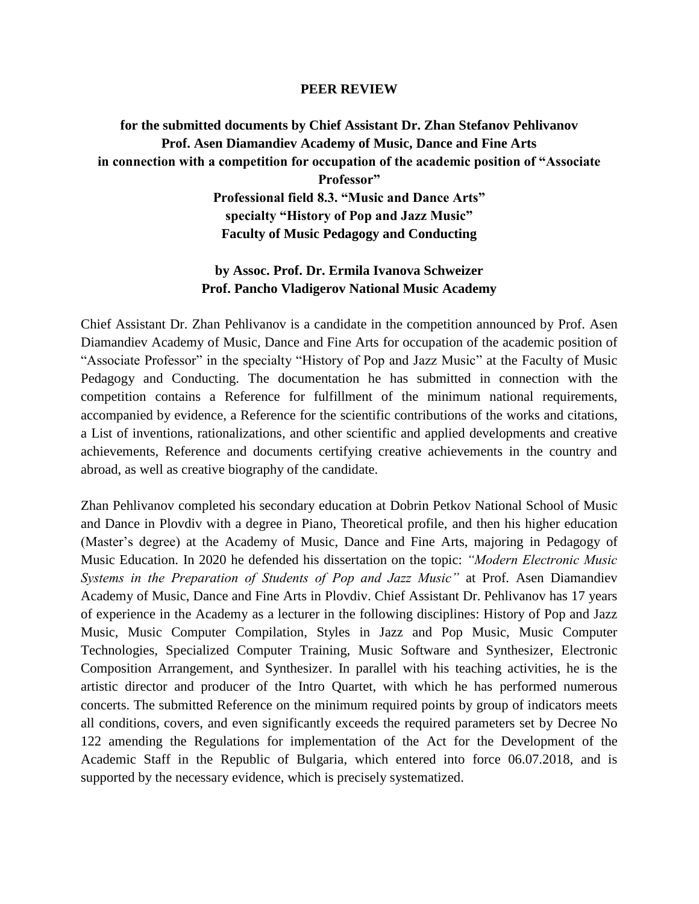## **PEER REVIEW**

## **for the submitted documents by Chief Assistant Dr. Zhan Stefanov Pehlivanov Prof. Asen Diamandiev Academy of Music, Dance and Fine Arts in connection with a competition for occupation of the academic position of "Associate Professor" Professional field 8.3. "Music and Dance Arts" specialty "History of Pop and Jazz Music" Faculty of Music Pedagogy and Conducting**

## **by Assoc. Prof. Dr. Ermila Ivanova Schweizer Prof. Pancho Vladigerov National Music Academy**

Chief Assistant Dr. Zhan Pehlivanov is a candidate in the competition announced by Prof. Asen Diamandiev Academy of Music, Dance and Fine Arts for occupation of the academic position of "Associate Professor" in the specialty "History of Pop and Jazz Music" at the Faculty of Music Pedagogy and Conducting. The documentation he has submitted in connection with the competition contains a Reference for fulfillment of the minimum national requirements, accompanied by evidence, a Reference for the scientific contributions of the works and citations, a List of inventions, rationalizations, and other scientific and applied developments and creative achievements, Reference and documents certifying creative achievements in the country and abroad, as well as creative biography of the candidate.

Zhan Pehlivanov completed his secondary education at Dobrin Petkov National School of Music and Dance in Plovdiv with a degree in Piano, Theoretical profile, and then his higher education (Master's degree) at the Academy of Music, Dance and Fine Arts, majoring in Pedagogy of Music Education. In 2020 he defended his dissertation on the topic: *"Modern Electronic Music Systems in the Preparation of Students of Pop and Jazz Music"* at Prof. Asen Diamandiev Academy of Music, Dance and Fine Arts in Plovdiv. Chief Assistant Dr. Pehlivanov has 17 years of experience in the Academy as a lecturer in the following disciplines: History of Pop and Jazz Music, Music Computer Compilation, Styles in Jazz and Pop Music, Music Computer Technologies, Specialized Computer Training, Music Software and Synthesizer, Electronic Composition Arrangement, and Synthesizer. In parallel with his teaching activities, he is the artistic director and producer of the Intro Quartet, with which he has performed numerous concerts. The submitted Reference on the minimum required points by group of indicators meets all conditions, covers, and even significantly exceeds the required parameters set by Decree No 122 amending the Regulations for implementation of the Act for the Development of the Academic Staff in the Republic of Bulgaria, which entered into force 06.07.2018, and is supported by the necessary evidence, which is precisely systematized.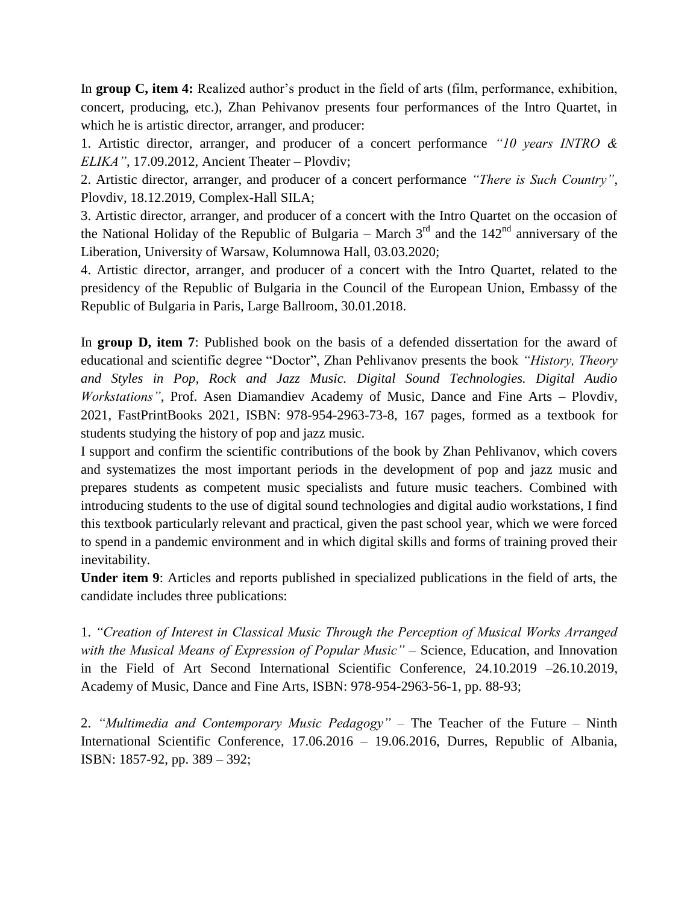In **group C, item 4:** Realized author's product in the field of arts (film, performance, exhibition, concert, producing, etc.), Zhan Pehivanov presents four performances of the Intro Quartet, in which he is artistic director, arranger, and producer:

1. Artistic director, arranger, and producer of a concert performance *"10 years INTRO & ELIKA"*, 17.09.2012, Ancient Theater – Plovdiv;

2. Artistic director, arranger, and producer of a concert performance *"There is Such Country"*, Plovdiv, 18.12.2019, Complex-Hall SILA;

3. Artistic director, arranger, and producer of a concert with the Intro Quartet on the occasion of the National Holiday of the Republic of Bulgaria – March  $3<sup>rd</sup>$  and the  $142<sup>nd</sup>$  anniversary of the Liberation, University of Warsaw, Kolumnowa Hall, 03.03.2020;

4. Artistic director, arranger, and producer of a concert with the Intro Quartet, related to the presidency of the Republic of Bulgaria in the Council of the European Union, Embassy of the Republic of Bulgaria in Paris, Large Ballroom, 30.01.2018.

In **group D, item 7**: Published book on the basis of a defended dissertation for the award of educational and scientific degree "Doctor", Zhan Pehlivanov presents the book *"History, Theory and Styles in Pop, Rock and Jazz Music. Digital Sound Technologies. Digital Audio Workstations"*, Prof. Asen Diamandiev Academy of Music, Dance and Fine Arts – Plovdiv, 2021, FastPrintBooks 2021, ISBN: 978-954-2963-73-8, 167 pages, formed as a textbook for students studying the history of pop and jazz music.

I support and confirm the scientific contributions of the book by Zhan Pehlivanov, which covers and systematizes the most important periods in the development of pop and jazz music and prepares students as competent music specialists and future music teachers. Combined with introducing students to the use of digital sound technologies and digital audio workstations, I find this textbook particularly relevant and practical, given the past school year, which we were forced to spend in a pandemic environment and in which digital skills and forms of training proved their inevitability.

**Under item 9**: Articles and reports published in specialized publications in the field of arts, the candidate includes three publications:

1. *"Creation of Interest in Classical Music Through the Perception of Musical Works Arranged with the Musical Means of Expression of Popular Music"* – Science, Education, and Innovation in the Field of Art Second International Scientific Conference, 24.10.2019 –26.10.2019, Academy of Music, Dance and Fine Arts, ISBN: 978-954-2963-56-1, pp. 88-93;

2. *"Multimedia and Contemporary Music Pedagogy"* – The Teacher of the Future – Ninth International Scientific Conference, 17.06.2016 – 19.06.2016, Durres, Republic of Albania, ISBN: 1857-92, pp. 389 – 392;